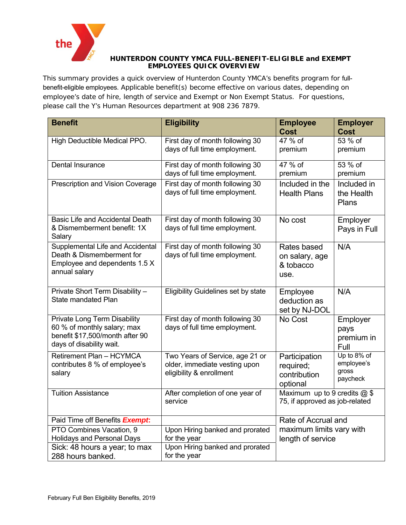

## **HUNTERDON COUNTY YMCA FULL-BENEFIT-ELIGIBLE and EXEMPT EMPLOYEES QUICK OVERVIEW**

This summary provides a quick overview of Hunterdon County YMCA's benefits program for fullbenefit-eligible employees. Applicable benefit(s) become effective on various dates, depending on employee's date of hire, length of service and Exempt or Non Exempt Status. For questions, please call the Y's Human Resources department at 908 236 7879.

| <b>Benefit</b>                                                | <b>Eligibility</b>                                               | <b>Employee</b>                | <b>Employer</b>     |
|---------------------------------------------------------------|------------------------------------------------------------------|--------------------------------|---------------------|
|                                                               |                                                                  | <b>Cost</b>                    | <b>Cost</b>         |
| High Deductible Medical PPO.                                  | First day of month following 30                                  | 47 % of                        | 53 % of             |
|                                                               | days of full time employment.                                    | premium                        | premium             |
| <b>Dental Insurance</b>                                       | First day of month following 30                                  | 47 % of                        | 53 % of             |
|                                                               | days of full time employment.                                    | premium                        | premium             |
| Prescription and Vision Coverage                              | First day of month following 30                                  | Included in the                | Included in         |
|                                                               | days of full time employment.                                    | <b>Health Plans</b>            | the Health<br>Plans |
|                                                               |                                                                  |                                |                     |
| <b>Basic Life and Accidental Death</b>                        | First day of month following 30                                  | No cost                        | Employer            |
| & Dismemberment benefit: 1X                                   | days of full time employment.                                    |                                | Pays in Full        |
| Salary                                                        |                                                                  |                                |                     |
| Supplemental Life and Accidental<br>Death & Dismemberment for | First day of month following 30<br>days of full time employment. | Rates based                    | N/A                 |
| Employee and dependents 1.5 X                                 |                                                                  | on salary, age<br>& tobacco    |                     |
| annual salary                                                 |                                                                  | use.                           |                     |
|                                                               |                                                                  |                                |                     |
| Private Short Term Disability -                               | Eligibility Guidelines set by state                              | Employee                       | N/A                 |
| <b>State mandated Plan</b>                                    |                                                                  | deduction as                   |                     |
|                                                               |                                                                  | set by NJ-DOL                  |                     |
| <b>Private Long Term Disability</b>                           | First day of month following 30                                  | No Cost                        | Employer            |
| 60 % of monthly salary; max                                   | days of full time employment.                                    |                                | pays                |
| benefit \$17,500/month after 90<br>days of disability wait.   |                                                                  |                                | premium in          |
|                                                               |                                                                  |                                | Full<br>Up to 8% of |
| Retirement Plan - HCYMCA<br>contributes 8 % of employee's     | Two Years of Service, age 21 or<br>older, immediate vesting upon | Participation                  | employee's          |
| salary                                                        | eligibility & enrollment                                         | required;<br>contribution      | gross               |
|                                                               |                                                                  | optional                       | paycheck            |
| <b>Tuition Assistance</b>                                     | After completion of one year of                                  | Maximum up to 9 credits $@$ \$ |                     |
|                                                               | service                                                          | 75, if approved as job-related |                     |
|                                                               |                                                                  |                                |                     |
| Paid Time off Benefits <b>Exempt:</b>                         |                                                                  | Rate of Accrual and            |                     |
| PTO Combines Vacation, 9                                      | Upon Hiring banked and prorated                                  | maximum limits vary with       |                     |
| <b>Holidays and Personal Days</b>                             | for the year                                                     | length of service              |                     |
| Sick: 48 hours a year; to max                                 | Upon Hiring banked and prorated                                  |                                |                     |
| 288 hours banked.                                             | for the year                                                     |                                |                     |